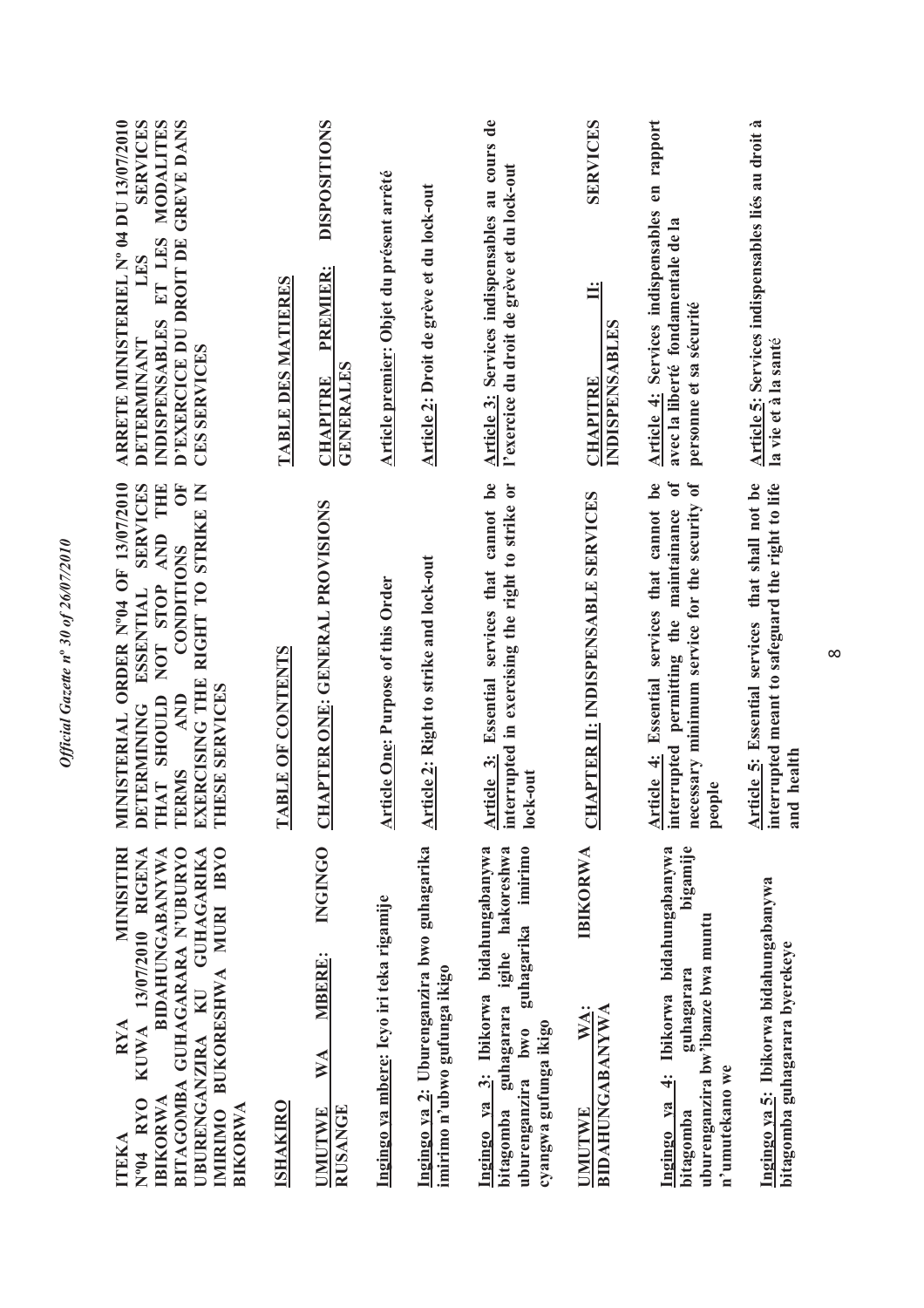| MINISITIRI<br><b>RYA</b><br>ITEKA                                                                                                                                                                           | MINISTERIAL ORDER Nº04 OF 13/07/2010                                                                                                                                                                               | ARRETE MINISTERIEL Nº 04 DU 13/07/2010                                                                                           |
|-------------------------------------------------------------------------------------------------------------------------------------------------------------------------------------------------------------|--------------------------------------------------------------------------------------------------------------------------------------------------------------------------------------------------------------------|----------------------------------------------------------------------------------------------------------------------------------|
| BITAGOMBA GUHAGARARA N'UBURYO<br>BUKORESHWA MURI IBYO<br>KUWA 13/07/2010 RIGENA<br><b>BIDAHUNGABANYWA</b><br>UBURENGANZIRA KU GUHAGARIKA<br>Nº04 RYO<br><b>IBIKORWA</b><br><b>BIKORWA</b><br><b>IMIRIMO</b> | <b>SERVICES</b><br>5C<br><b>THE</b><br>EXERCISING THE RIGHT TO STRIKE IN<br>AND<br><b>CONDITIONS</b><br>NOT STOP<br><b>ESSENTIAL</b><br>THESE SERVICES<br>THAT SHOULD<br><b>AND</b><br>DETERMINING<br><b>TERMS</b> | MODALITES<br><b>SERVICES</b><br>D'EXERCICE DU DROIT DE GREVE DANS<br>INDISPENSABLES ET LES<br>LES<br>DETERMINANT<br>CES SERVICES |
| <b>ISHAKIRO</b>                                                                                                                                                                                             | <b>TABLE OF CONTENTS</b>                                                                                                                                                                                           | TABLE DES MATIERES                                                                                                               |
| <b>INGINGO</b><br>MBERE:<br>WA<br><b>RUSANGE</b><br>UMUTWE                                                                                                                                                  | HAPTER ONE: GENERAL PROVISIONS<br>J                                                                                                                                                                                | <b>DISPOSITIONS</b><br>PREMIER:<br><b>GENERALES</b><br><b>CHAPITRE</b>                                                           |
| Ingingo ya mbere: Icyo iri teka rigamije                                                                                                                                                                    | <b>Article One: Purpose of this Order</b>                                                                                                                                                                          | Article premier: Objet du présent arrêté                                                                                         |
| Ingingo ya 2: Uburenganzira bwo guhagarika<br>imirimo n'ubwo gufunga ikigo                                                                                                                                  | Article 2: Right to strike and lock-out                                                                                                                                                                            | <b>Article 2: Droit de grève et du lock-out</b>                                                                                  |
| Ingingo ya 3: Ibikorwa bidahungabanywa<br>igihe hakoreshwa<br>imirimo<br>guhagarika<br>guhagarara<br>cyangwa gufunga ikigo<br>uburenganzira bwo<br>bitagomba                                                | Article 3: Essential services that cannot be<br>interrupted in exercising the right to strike or<br>lock-out                                                                                                       | Article 3: Services indispensables au cours de<br>l'exercice du droit de grève et du lock-out                                    |
| IBIKORWA<br><b>BIDAHUNGABANYWA</b><br>WA:<br><b>UMUTWE</b>                                                                                                                                                  | <b>CHAPTER II: INDISPENSABLE SERVICES</b>                                                                                                                                                                          | <b>SERVICES</b><br>$\ddot{=}$<br><b>INDISPENSABLES</b><br><b>CHAPITRE</b>                                                        |
| bigamije<br>bidahungabanywa<br>uburenganzira bw'ibanze bwa muntu<br>guhagarara<br>Ibikorwa<br><br>न<br>n'umutekano we<br>Ingingo ya<br>bitagomba                                                            | $\mathbf{0}$<br>be<br>necessary minimum service for the security of<br>Article 4: Essential services that cannot<br>interrupted permitting the maintainance<br>people                                              | Article 4: Services indispensables en rapport<br>avec la liberté fondamentale de la<br>personne et sa sécurité                   |
| Ingingo ya 5: Ibikorwa bidahungabanywa<br>bitagomba guhagarara byerekeye                                                                                                                                    | Article 5: Essential services that shall not be<br>interrupted meant to safeguard the right to life<br>and health                                                                                                  | Article 5: Services indispensables liés au droit à<br>la vie et à la santé                                                       |

 $\infty$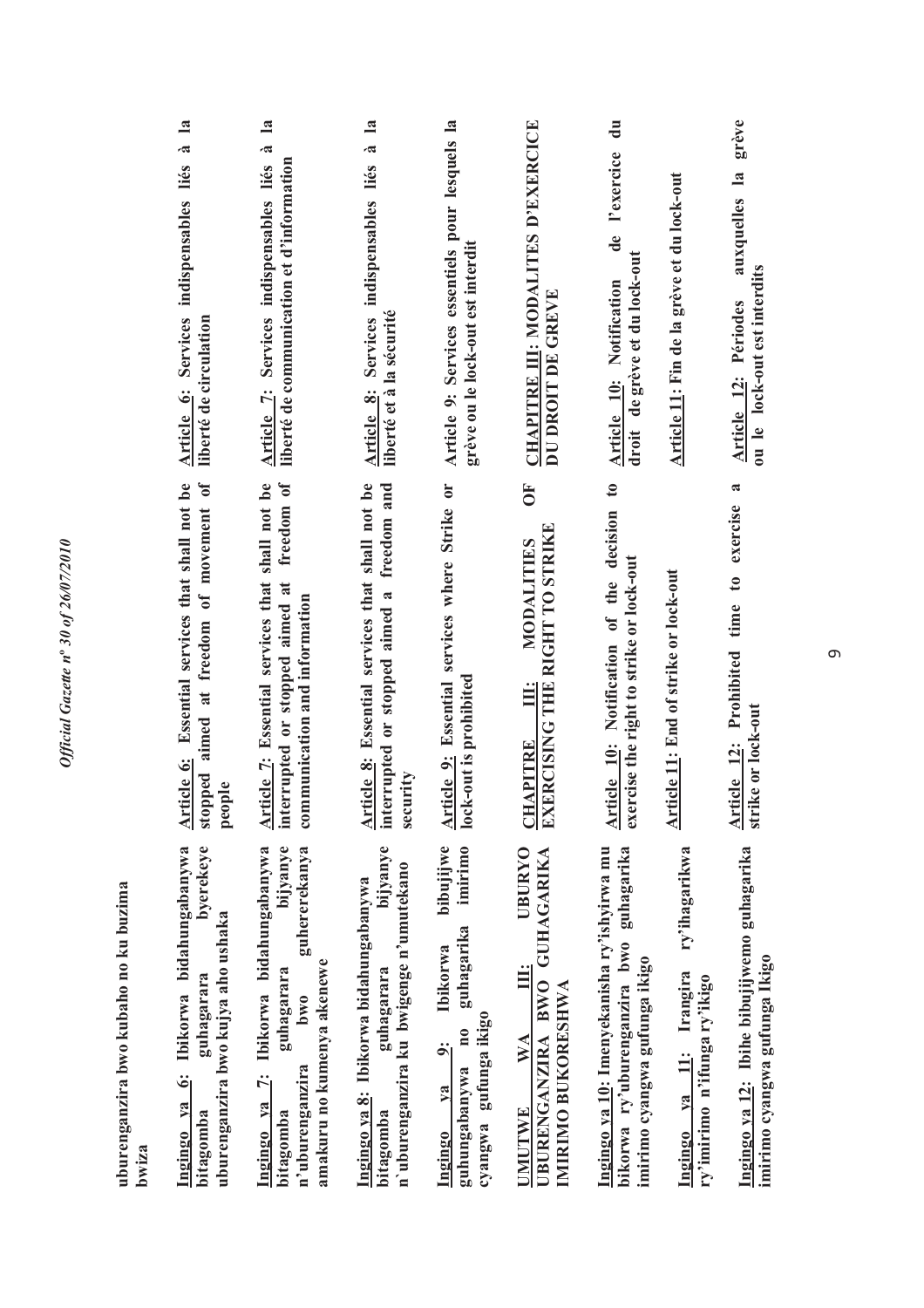| 6: Ibikorwa bidahungabanywa<br>byerekeye<br>uburenganzira bwo kubaho no ku buzima<br>uburenganzira bwo kujya aho ushaka<br>guhagarara<br>Ingingo ya<br>bitagomba<br>bwiza | aimed at freedom of movement of<br>Article 6: Essential services that shall not be<br>stopped<br>people                        | $\mathbf{a}$<br>$\tilde{\phantom{a}}$<br>Article 6: Services indispensables liés<br>liberté de circulation        |
|---------------------------------------------------------------------------------------------------------------------------------------------------------------------------|--------------------------------------------------------------------------------------------------------------------------------|-------------------------------------------------------------------------------------------------------------------|
| Ibikorwa bidahungabanywa<br>bijyanye<br>guhererekanya<br>amakuru no kumenya akenewe<br>guhagarara<br>bw0<br>n'uburenganzira<br>$\ddot{z}$<br>Ingingo ya<br>bitagomba      | Article 7: Essential services that shall not be<br>interrupted or stopped aimed at freedom of<br>communication and information | $\mathbf{a}$<br>$\vec{a}$<br>liberté de communication et d'information<br>Article 7: Services indispensables liés |
| bijyanye<br>n'uburenganzira ku bwigenge n'umutekano<br>Ingingo ya 8: Ibikorwa bidahungabanywa<br>guhagarara<br>bitagomba                                                  | <b>Article 8:</b> Essential services that shall not be interrupted or stopped aimed a freedom and<br>security                  | $\mathbf{a}$<br>.ಷ<br>Article 8: Services indispensables liés<br>liberté et à la sécurité                         |
| bibujijwe<br>imirimo<br>guhagarika<br><b>Ibikorwa</b><br>gufunga ikigo<br>$\mathbf{n}$<br>اب<br>guhungabanywa<br>$1$<br>cyangwa<br>Ingingo                                | Article 9: Essential services where Strike or<br>lock-out is prohibited                                                        | Article 9: Services essentiels pour lesquels la<br>greve ou le lock-out est interdit                              |
| <b>UBURYO</b><br><b>GUHAGARIKA</b><br>$\ddot{\mathbf{H}}$<br>UBURENGANZIRA BWO<br>IMIRIMO BUKORESHWA<br>WA<br>UMUTWE                                                      | $\overline{0}$<br><b>CHAPITRE III: MODALITIES<br/>EXERCISING THE RIGHT TO STRIKE</b>                                           | CHAPITRE III: MODALITES D'EXERCICE<br>DU DROIT DE GREVE                                                           |
| Ingingo ya 10: Imenyekanisha ry'ishyirwa mu<br>guhagarika<br>bikorwa ry'uburenganzira bwo<br>imirimo cyangwa gufunga ikigo                                                | Article 10: Notification of the decision to<br>exercise the right to strike or lock-out                                        | $\frac{1}{2}$<br>l'exercice<br>de<br>de grève et du lock-out<br>Article 10: Notification<br>droit                 |
| ry'ihagarikwa<br>Ingingo ya 11: Irangira<br>ry'imirimo n'ifunga ry'ikigo                                                                                                  | Article 11: End of strike or lock-out                                                                                          | Article 11: Fin de la grève et du lock-out                                                                        |
| Ingingo ya 12: Ibihe bibujijwemo guhagarika<br>imirimo cyangwa gufunga Ikigo                                                                                              | a<br>Article 12: Prohibited time to exercise<br>strike or lock-out                                                             | grève<br>auxquelles la<br>ou le lock-out est interdits<br>Article 12: Périodes                                    |

თ  $\theta$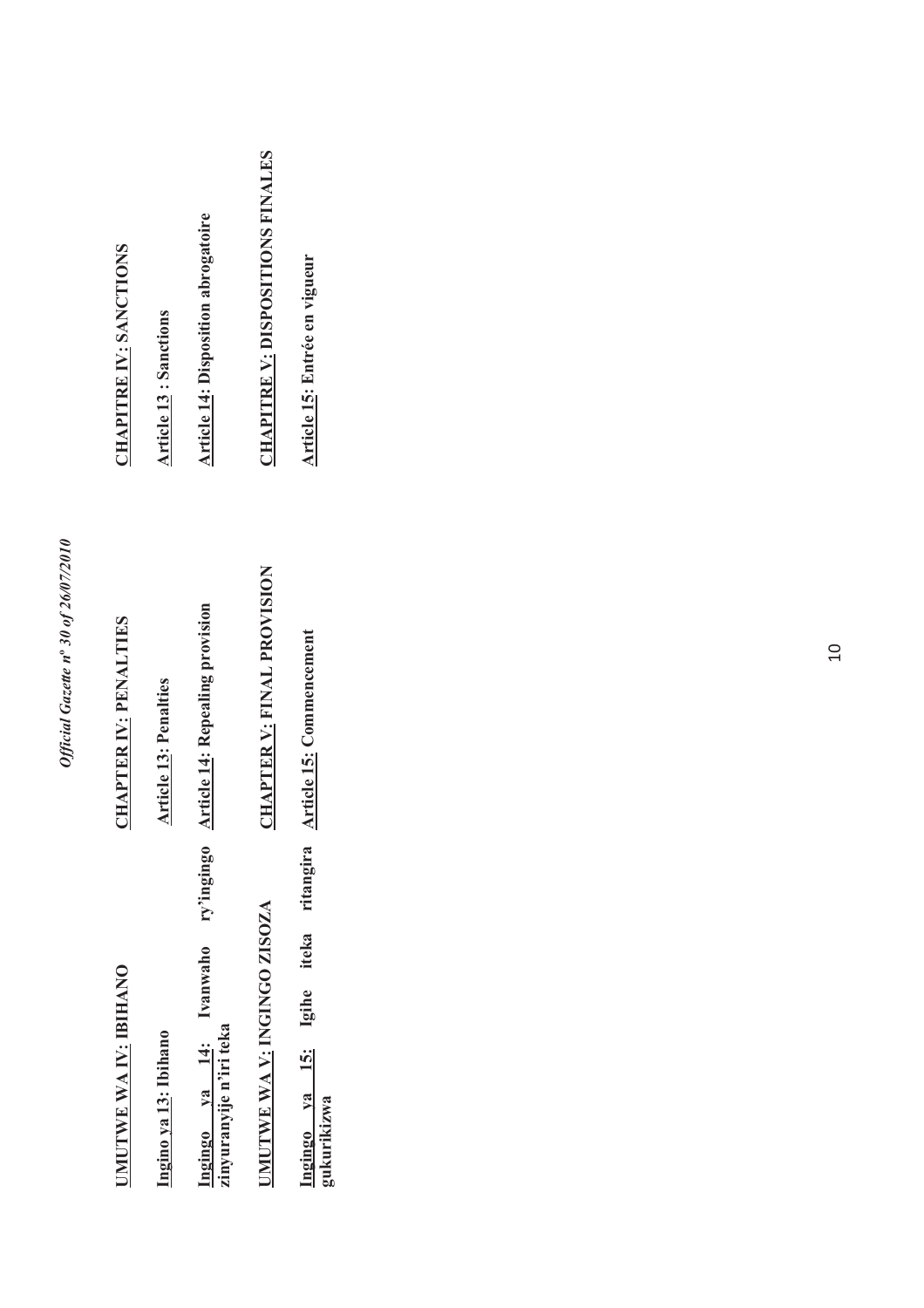| ٢<br>۵.                       |
|-------------------------------|
|                               |
|                               |
| $\tilde{\Omega}$              |
| t                             |
| ۵                             |
| f?K/N                         |
| e<br>J                        |
|                               |
| ۰.<br>$\bullet$               |
| ⋖                             |
| ₹<br>ę                        |
| $\boldsymbol{n}^{\mathrm{o}}$ |
| ı<br>7<br>ζ                   |
|                               |
|                               |
|                               |
| į                             |
| $\ddot{\phantom{0}}$          |
|                               |

| <b>CHAPITRE IV: SANCTIONS</b>      | <b>Article 13: Sanctions</b> | <b>Article 14: Disposition abrogatoire</b>                  | <b>CHAPITRE V: DISPOSITIONS FINALES</b> | Article 15: Entrée en vigueur                          |
|------------------------------------|------------------------------|-------------------------------------------------------------|-----------------------------------------|--------------------------------------------------------|
| <b>CHAPTER IV: PENALTIES</b>       | <b>Article 13: Penalties</b> | <b>Article 14: Repealing provision</b>                      | <b>CHAPTER V: FINAL PROVISION</b>       | Article 15: Commencement                               |
| <b><i>JMUTWE WAIV: IBIHANO</i></b> | Ingino ya 13: Ibihano        | ngingo ya 14: Ivanwaho ry'ingingo<br>inyuranyije n'iri teka | <b>IMUTWE WA V: INGINGO ZISOZA</b>      | ritangira<br>Ingingo ya 15: Igihe iteka<br>gukurikizwa |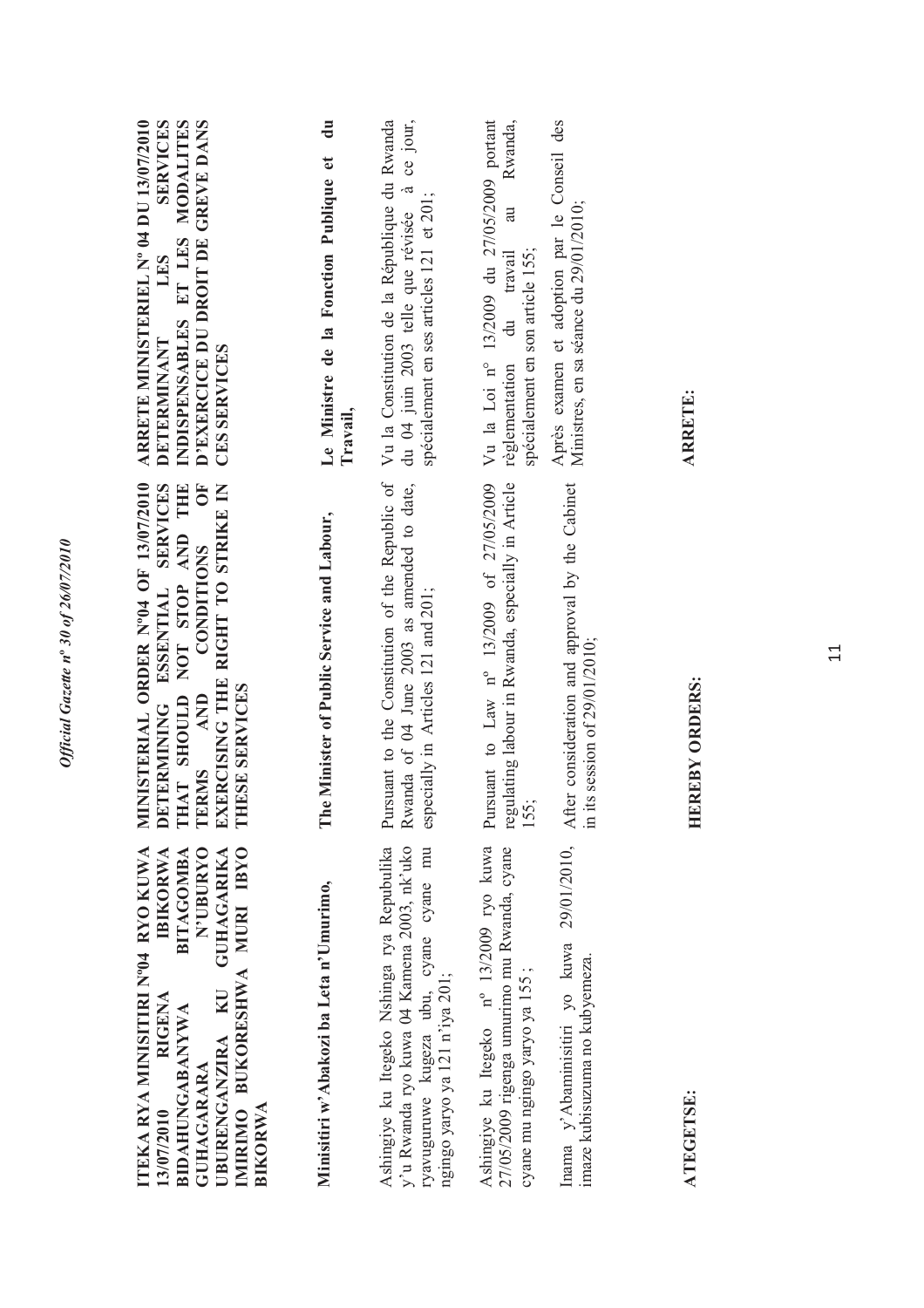| IMIRIMO BUKORESHWA MURI IBYO<br><b>GUHAGARIKA</b><br><b>N'UBURYO</b><br><b>IBIKORWA</b><br><b>BITAGOMBA</b><br>Minisitiri w'Abakozi ba Leta n'Umurimo,<br>UBURENGANZIRA KU<br>RIGENA<br><b>BIDAHUNGABANYWA</b><br><b>GUHAGARARA</b> | NISTERIAL ORDER Nº04 OF 13/07/2010<br>DETERMINING ESSENTIAL SERVICES<br>CONDITIONS OF<br>EXERCISING THE RIGHT TO STRIKE IN<br>AT SHOULD NOT STOP AND THE<br>The Minister of Public Service and Labour,<br><b>ESE SERVICES</b><br>TERMS AND<br>H<br>HL<br>E | ARRETE MINISTERIEL Nº 04 DU 13/07/2010<br>INDISPENSABLES ET LES MODALITES<br>D'EXERCICE DU DROIT DE GREVE DANS<br><b>SERVICES</b><br>đu<br>Le Ministre de la Fonction Publique et<br>LES<br>DETERMINANT<br>CES SERVICES<br>Travail, |
|-------------------------------------------------------------------------------------------------------------------------------------------------------------------------------------------------------------------------------------|------------------------------------------------------------------------------------------------------------------------------------------------------------------------------------------------------------------------------------------------------------|-------------------------------------------------------------------------------------------------------------------------------------------------------------------------------------------------------------------------------------|
| y'u Rwanda ryo kuwa 04 Kamena 2003, nk'uko<br>Ashingiye ku Itegeko Nshinga rya Repubulika<br>ryavuguruwe kugeza ubu, cyane cyane mu<br>ngingo yaryo ya 121 n'iya 201;                                                               | Pursuant to the Constitution of the Republic of<br>Rwanda of 04 June 2003 as amended to date,<br>especially in Articles 121 and 201;                                                                                                                       | du 04 juin 2003 telle que révisée à ce jour,<br>Vu la Constitution de la République du Rwanda<br>spécialement en ses articles 121 et 201;                                                                                           |
| Ashingiye ku Itegeko nº 13/2009 ryo kuwa<br>27/05/2009 rigenga umurimo mu Rwanda, cyane<br>cyane mu ngingo yaryo ya 155;                                                                                                            | Pursuant to Law nº 13/2009 of 27/05/2009<br>regulating labour in Rwanda, especially in Article<br>155;                                                                                                                                                     | Vu la Loi nº 13/2009 du 27/05/2009 portant<br>Rwanda,<br>au<br>spécialement en son article 155;<br>règlementation du travail                                                                                                        |
| Inama y'Abaminisitiri yo kuwa<br>imaze kubisuzuma no kubyemeza.                                                                                                                                                                     | 29/01/2010, After consideration and approval by the Cabinet<br>in its session of $29/01/2010$ ;                                                                                                                                                            | Après examen et adoption par le Conseil des<br>Ministres, en sa séance du 29/01/2010;                                                                                                                                               |

Official Gazette nº 30 of 26/07/2010

ATEGETSE: **ATEGETSE:**

HEREBY ORDERS: **HEREBY ORDERS:**

ARRETE: **ARRETE:**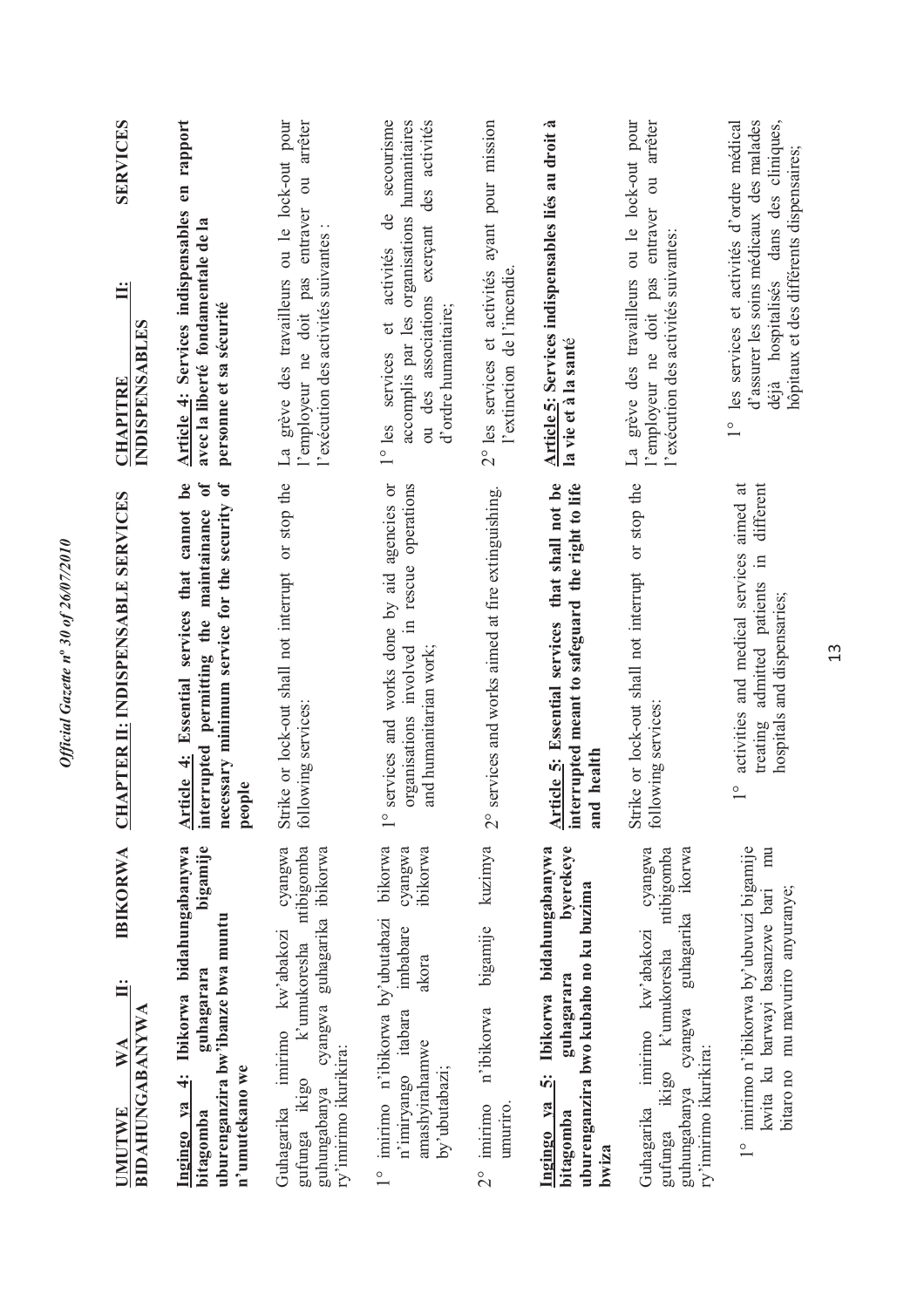| <b>IBIKORWA</b><br>⋖<br>$\geqslant$<br><b>UMUTWE</b>                                                                                                              | <b>HAPTER II: INDISPENSABLE SERVICES</b><br>J                                                                                                                         | <b>SERVICES</b><br>$\ddot{=}$<br><b>CHAPITRE</b>                                                                                                                                                                 |
|-------------------------------------------------------------------------------------------------------------------------------------------------------------------|-----------------------------------------------------------------------------------------------------------------------------------------------------------------------|------------------------------------------------------------------------------------------------------------------------------------------------------------------------------------------------------------------|
| <b>BIDAHUNGABANYWA</b>                                                                                                                                            |                                                                                                                                                                       | INDISPENSABLES                                                                                                                                                                                                   |
| bigamije<br>Ibikorwa bidahungabanywa<br>uburenganzira bw'ibanze bwa muntu<br>guhagarara<br>n'umutekano we<br>$\ddot{a}$<br>Ingingo ya<br>bitagomba                | be<br>$\mathbf{f}$<br>necessary minimum service for the security of<br>Article 4: Essential services that cannot<br>interrupted permitting the maintainance<br>people | Article 4: Services indispensables en rapport<br>avec la liberté fondamentale de la<br>personne et sa sécurité                                                                                                   |
| cyangwa<br>ntibigomba<br>cyangwa guhagarika ibikorwa<br>Guhagarika imirimo kw'abakozi<br>k'umukoresha<br>ry'imirimo ikurikira:<br>gufunga ikigo<br>guhungabanya   | Strike or lock-out shall not interrupt or stop the<br>following services:                                                                                             | arrêter<br>La grève des travailleurs ou le lock-out pour<br>$\overline{\text{c}}$<br>l'employeur ne doit pas entraver<br>l'exécution des activités suivantes :                                                   |
| bikorwa<br>ibikorwa<br>cyangwa<br>imirimo n'ibikorwa by'ubutabazi<br>imbabare<br>akora<br>n'imiryango itabara<br>amashyirahamwe<br>by'ubutabazi;<br>$\frac{1}{1}$ | services and works done by aid agencies or<br>organisations involved in rescue operations<br>and humanitarian work;<br>$\frac{0}{1}$                                  | humanitaires<br>activités<br>secourisme<br>$\mathrm{des}$<br>accomplis par les organisations<br>ಕೆ<br>ou des associations exerçant<br>activités<br>d'ordre humanitaire;<br>$\sigma$<br>services<br>$1^\circ$ les |
| kuzimya<br>bigamije<br>n'ibikorwa<br>umuriro.<br>imirimo<br>$\frac{1}{2}$                                                                                         | services and works aimed at fire extinguishing.<br>$\overline{C}$                                                                                                     | 2° les services et activités ayant pour mission<br>l'extinction de l'incendie                                                                                                                                    |
| byerekeye<br>Ibikorwa bidahungabanywa<br>uburenganzira bwo kubaho no ku buzima<br>guhagarara<br>$\ddot{\mathbf{v}}$<br>Ingingo ya<br>bitagomba<br>bwiza           | Article 5: Essential services that shall not be<br>interrupted meant to safeguard the right to life<br>and health                                                     | Article 5: Services indispensables liés au droit à<br>la vie et à la santé                                                                                                                                       |
| cyangwa<br>ikorwa<br>ntibigomba<br>guhungabanya cyangwa guhagarika<br>imirimo kw'abakozi<br>ikigo k'umukoresha<br>ry'imirimo ikurikira:<br>Guhagarika<br>gufunga  | Strike or lock-out shall not interrupt or stop the<br>following services:                                                                                             | La grève des travailleurs ou le lock-out pour<br>arrêter<br>$\overline{\mathrm{d}}$<br>entraver<br>l'exécution des activités suivantes:<br>l'employeur ne doit pas                                               |
| 1° imirimo n'ibikorwa by'ubuvuzi bigamije<br>mu<br>bitaro no mu mavuriro anyuranye;<br>kwita ku barwayi basanzwe bari                                             | activities and medical services aimed at<br>different<br>$\Xi$<br>admitted patients<br>hospitals and dispensaries;<br>treating<br>$\frac{0}{1}$                       | d'assurer les soins médicaux des malades<br>déjà hospitalisés dans des cliniques,<br>les services et activités d'ordre médical<br>hôpitaux et des différents dispensaires;<br>$\frac{1}{1}$                      |

13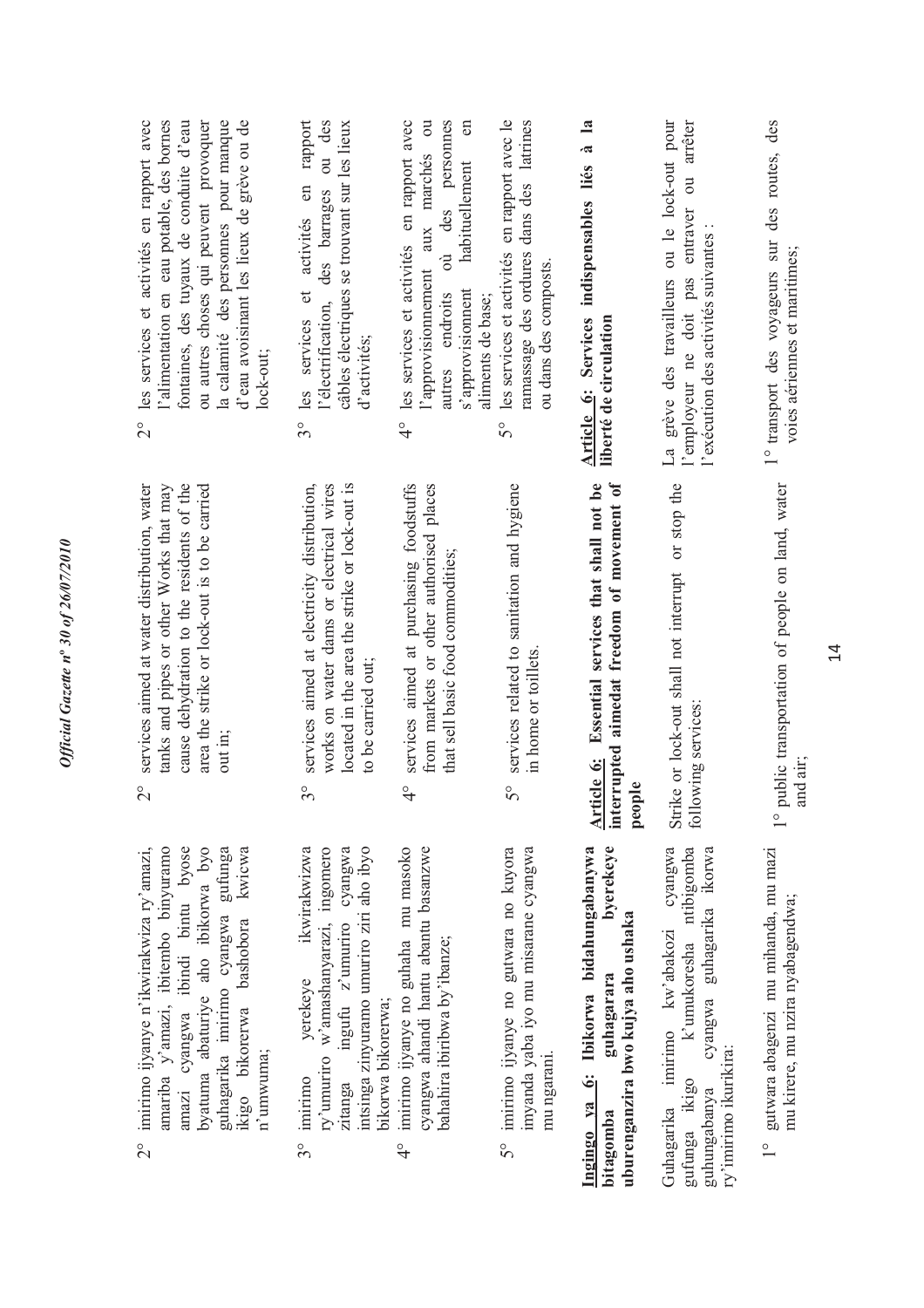| l'alimentation en eau potable, des bornes<br>la calamité des personnes pour manque<br>fontaines, des tuyaux de conduite d'eau<br>ou autres choses qui peuvent provoquer<br>d'eau avoisinant les lieux de grève ou de<br>les services et activités en rapport avec<br>lock-out;<br>$\frac{1}{2}$ | rapport<br>ou des<br>câbles électriques se trouvant sur les lieux<br>et activités en<br>des barrages<br>l'électrification,<br>les services<br>d'activités;<br>$3^{\circ}$                         | les services et activités en rapport avec<br>personnes<br>$\overline{\mathrm{c}}$<br>$\epsilon$<br>marchés<br>habituellement<br>des<br>aux<br>$\dot{\vec{c}}$<br>l'approvisionnement<br>s'approvisionnent<br>autres endroits<br>aliments de base;<br>$\frac{1}{4}$ | les services et activités en rapport avec le<br>ramassage des ordures dans des latrines<br>ou dans des composts.<br>50 | $\mathbf{a}$<br>$\tilde{\mathbf{z}}$<br>liés<br>indispensables<br><b>Article 6: Services</b><br>liberté de circulation  | La grève des travailleurs ou le lock-out pour<br>arrêter<br>$\overline{c}$<br>entraver<br>l'exécution des activités suivantes<br>l'employeur ne doit pas   | des<br>des routes,<br>1° transport des voyageurs sur<br>voies aériennes et maritimes;     |
|-------------------------------------------------------------------------------------------------------------------------------------------------------------------------------------------------------------------------------------------------------------------------------------------------|---------------------------------------------------------------------------------------------------------------------------------------------------------------------------------------------------|--------------------------------------------------------------------------------------------------------------------------------------------------------------------------------------------------------------------------------------------------------------------|------------------------------------------------------------------------------------------------------------------------|-------------------------------------------------------------------------------------------------------------------------|------------------------------------------------------------------------------------------------------------------------------------------------------------|-------------------------------------------------------------------------------------------|
| cause dehydration to the residents of the<br>area the strike or lock-out is to be carried<br>services aimed at water distribution, water<br>tanks and pipes or other Works that may<br>out in;<br>$\overline{\mathcal{C}}$                                                                      | services aimed at electricity distribution,<br>located in the area the strike or lock-out is<br>works on water dams or electrical wires<br>to be carried out;<br>$3^{\circ}$                      | services aimed at purchasing foodstuffs<br>from markets or other authorised places<br>that sell basic food commodities;<br>$\frac{1}{4}$                                                                                                                           | services related to sanitation and hygiene<br>in home or toillets.<br>S°                                               | Essential services that shall not be<br>interrupted aimedat freedom of movement of<br>Article 6:<br>ple<br>peo          | Strike or lock-out shall not interrupt or stop the<br>lowing services:<br>foll                                                                             | public transportation of people on land, water<br>and air:<br>$\frac{0}{1}$               |
| imirimo ijyanye n'ikwirakwiza ry'amazi,<br>amariba y'amazi, ibitembo binyuramo<br>amazi cyangwa ibindi bintu byose<br>byatuma abaturiye aho ibikorwa byo<br>guhagarika imirimo cyangwa gufunga<br>kwicwa<br>ikigo bikorerwa bashobora<br>n'umwuma;<br>$\frac{1}{2}$                             | ikwirakwizwa<br>intsinga zinyuramo umuriro ziri aho ibyo<br>ry'umuriro w'amashanyarazi, ingomero<br>ingufu z'umuriro cyangwa<br>yerekeye<br>bikorwa bikorerwa;<br>imirimo<br>zitanga<br>$3^\circ$ | imirimo ijyanye no guhaha mu masoko<br>cyangwa ahandi hantu abantu basanzwe<br>bahahira ibiribwa by'ibanze;<br>$\frac{1}{4}$                                                                                                                                       | imirimo ijyanye no gutwara no kuyora<br>imyanda yaba iyo mu misarane cyangwa<br>mu ngarani.<br>$5^\circ$               | byerekeye<br>6: Ibikorwa bidahungabanywa<br>uburenganzira bwo kujya aho ushaka<br>guhagarara<br>Ingingo ya<br>bitagomba | cyangwa<br>k'umukoresha ntibigomba<br>cyangwa guhagarika ikorwa<br>Guhagarika imirimo kw'abakozi<br>ry'imirimo ikurikira:<br>gufunga ikigo<br>guhungabanya | gutwara abagenzi mu mihanda, mu mazi<br>mu kirere, mu nzira nyabagendwa;<br>$\frac{1}{1}$ |

*Official Gazette n***º** *30 of 26/07/2010*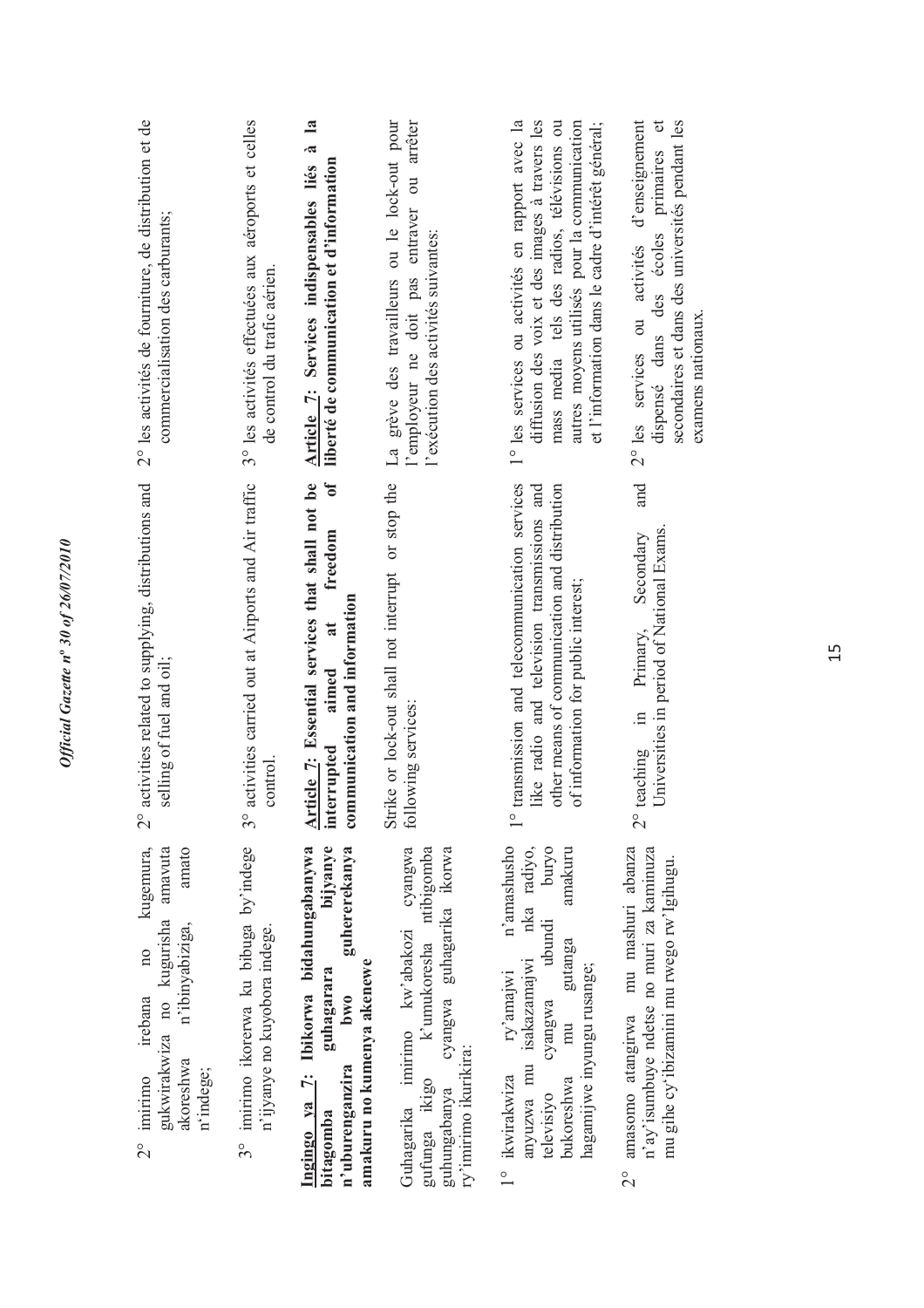| 2° les activités de fourniture, de distribution et de<br>commercialisation des carburants;                                                                        | 3° les activités effectuées aux aéroports et celles<br>de control du trafic aérien. | $\mathbf{a}$<br>Article 7: Services indispensables liés à<br>liberté de communication et d'information                                                        | La grève des travailleurs ou le lock-out pour<br>arrêter<br>l'employeur ne doit pas entraver ou<br>l'exécution des activités suivantes:              | 1° les services ou activités en rapport avec la<br>diffusion des voix et des images à travers les<br>mass media tels des radios, télévisions ou<br>autres moyens utilisés pour la communication<br>et l'information dans le cadre d'intérêt général; | 2° les services ou activités d'enseignement<br>secondaires et dans des universités pendant les<br>primaires et<br>dispensé dans des écoles<br>examens nationaux. |
|-------------------------------------------------------------------------------------------------------------------------------------------------------------------|-------------------------------------------------------------------------------------|---------------------------------------------------------------------------------------------------------------------------------------------------------------|------------------------------------------------------------------------------------------------------------------------------------------------------|------------------------------------------------------------------------------------------------------------------------------------------------------------------------------------------------------------------------------------------------------|------------------------------------------------------------------------------------------------------------------------------------------------------------------|
| activities related to supplying, distributions and<br>selling of fuel and oil;<br>$\frac{1}{2}$                                                                   | activities carried out at Airports and Air traffic<br>control.<br>$\frac{1}{3}$     | Article 7: Essential services that shall not be<br>interrupted aimed at freedom of<br>communication and information                                           | Strike or lock-out shall not interrupt or stop the<br>following services:                                                                            | transmission and telecommunication services<br>like radio and television transmissions and<br>other means of communication and distribution<br>of information for public interest;<br>$\frac{0}{1}$                                                  | and<br>Universities in period of National Exams.<br>Secondary<br>Primary,<br>$\Xi$ .<br>teaching<br>$\overset{\circ}{\sim}$                                      |
| amato<br>kugemura,<br>amavuta<br>gukwirakwiza no kugurisha<br>n'ibinyabiziga,<br>10 <sub>o</sub><br>irebana<br>akoreshwa<br>n'indege;<br>imirimo<br>$\frac{1}{2}$ | 3° imirimo ikorerwa ku bibuga by'indege<br>n'ijyanye no kuyobora indege.            | Ingingo ya 7: Ibikorwa bidahungabanywa<br>bijyanye<br>guhererekanya<br>amakuru no kumenya akenewe<br>guhagarara<br><b>bwo</b><br>n'uburenganzira<br>bitagomba | Guhagarika imirimo kw'abakozi cyangwa<br>gufunga ikigo k'umukoresha ntibigomba<br>cyangwa guhagarika ikorwa<br>ry'imirimo ikurikira:<br>guhungabanya | n'amashusho<br>nka radiyo,<br>amakuru<br>puryo<br>cyangwa ubundi<br>gutanga<br>anyuzwa mu isakazamajwi<br>hagamijwe inyungu rusange;<br>ry'amajwi<br>mu<br>1° ikwirakwiza<br>bukoreshwa<br>televisiyo                                                | amasomo atangirwa mu mashuri abanza<br>n'ay'isumbuye ndetse no muri za kaminuza<br>mu gihe cy'ibizamini mu rwego rw'lgihugu.<br>$\frac{1}{2}$                    |

Official Gazette nº 30 of 26/07/2010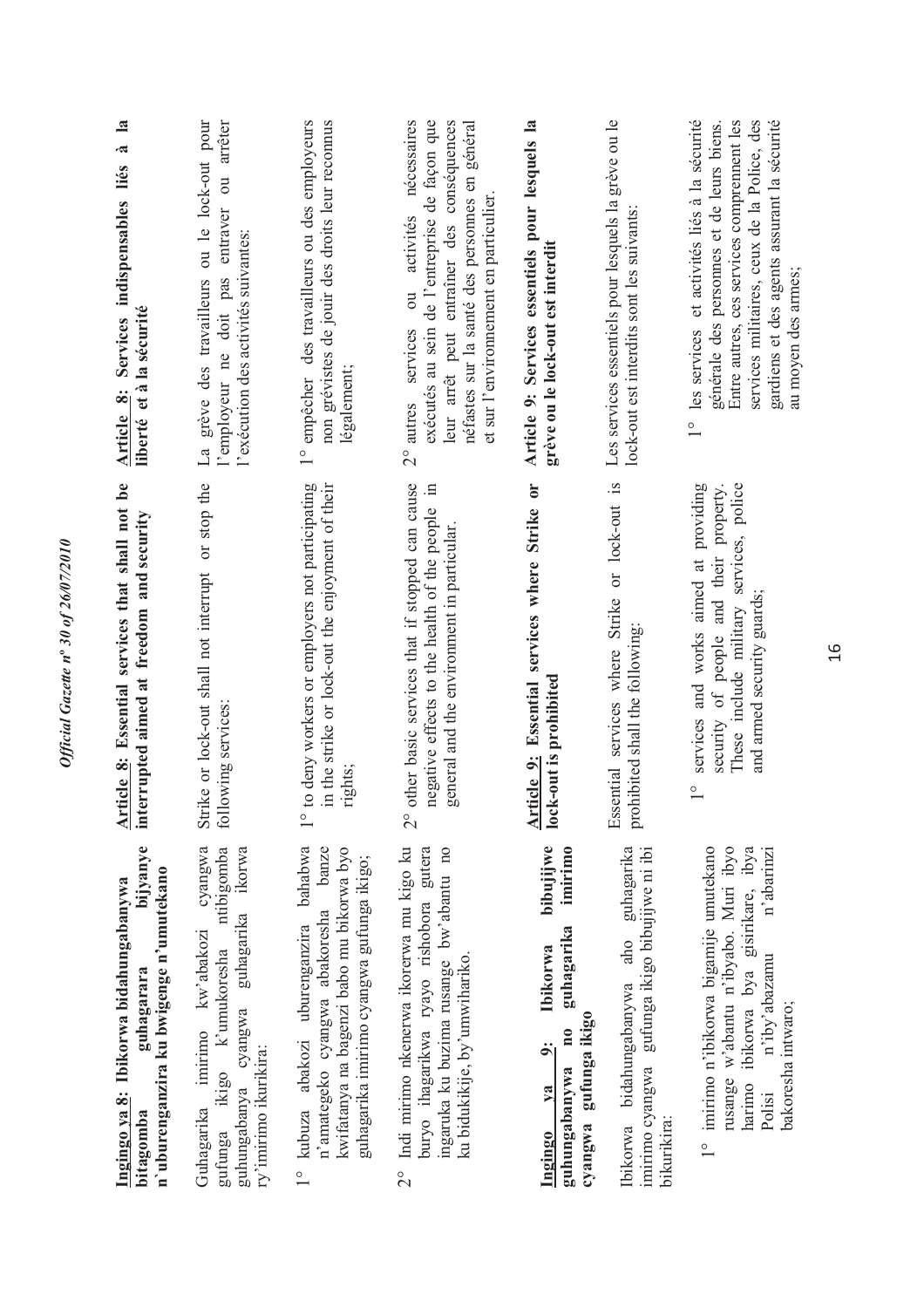| bijyanye<br>n'uburenganzira ku bwigenge n'umutekano<br>Ingingo ya 8: Ibikorwa bidahungabanywa<br>guhagarara<br>bitagomba                                                                | Article 8: Essential services that shall not be<br>interrupted aimed at freedom and security                                                                                     | $\mathbf{a}$<br>Services indispensables liés à<br>liberté et à la sécurité<br>Article 8:                                                                                                                                                                                        |
|-----------------------------------------------------------------------------------------------------------------------------------------------------------------------------------------|----------------------------------------------------------------------------------------------------------------------------------------------------------------------------------|---------------------------------------------------------------------------------------------------------------------------------------------------------------------------------------------------------------------------------------------------------------------------------|
| cyangwa<br>ntibigomba<br>ikorwa<br>guhagarika<br>Guhagarika imirimo kw'abakozi<br>ikigo k'umukoresha<br>cyangwa<br>ry'imirimo ikurikira:<br>guhungabanya<br>gufunga                     | Strike or lock-out shall not interrupt or stop the<br>lowing services:<br>fol                                                                                                    | La grève des travailleurs ou le lock-out pour<br>arrêter<br>$\vec{c}$<br>entraver<br>l'exécution des activités suivantes:<br>l'employeur ne doit pas                                                                                                                            |
| kubuza abakozi uburenganzira bahabwa<br>n'amategeko cyangwa abakoresha banze<br>kwifatanya na bagenzi babo mu bikorwa byo<br>guhagarika imirimo cyangwa gufunga ikigo;<br>$\frac{1}{1}$ | to deny workers or employers not participating<br>in the strike or lock-out the enjoyment of their<br>rights;<br>$\overset{\circ}{\phantom{0}}$                                  | 1° empêcher des travailleurs ou des employeurs<br>non grévistes de jouir des droits leur reconnus<br>légalement;                                                                                                                                                                |
| Indi mirimo nkenerwa ikorerwa mu kigo ku<br>buryo ihagarikwa ryayo rishobora gutera<br>ingaruka ku buzima rusange bw'abantu no<br>ku bidukikije, by'umwihariko.<br>$\frac{1}{2}$        | other basic services that if stopped can cause<br>negative effects to the health of the people in<br>general and the environment in particular.<br>$\overline{C}$                | nécessaires<br>exécutés au sein de l'entreprise de façon que<br>leur arrêt peut entraîner des conséquences<br>néfastes sur la santé des personnes en général<br>et sur l'environnement en particulier<br>activités<br>$\overline{\mathrm{u}}$<br>services<br>$2^{\circ}$ autres |
| bibujijwe<br>imirimo<br>guhagarika<br><b>Ibikorwa</b><br>gufunga ikigo<br>$\mathbf{n}$<br>$\ddot{\tilde{}}$<br>guhungabanywa<br>$1$<br>cyangwa<br>Ingingo                               | Article 9: Essential services where Strike or<br>lock-out is prohibited                                                                                                          | Article 9: Services essentiels pour lesquels la<br>grève ou le lock-out est interdit                                                                                                                                                                                            |
| aho guhagarika<br>imirimo cyangwa gufunga ikigo bibujijwe ni ibi<br>Ibikorwa bidahungabanywa<br>bikurikira:                                                                             | Essential services where Strike or lock-out is<br>prohibited shall the following:                                                                                                | Les services essentiels pour lesquels la grève ou le<br>lock-out est interdits sont les suivants:                                                                                                                                                                               |
| rusange w'abantu n'ibyabo. Muri ibyo<br>1° imirimo n'ibikorwa bigamije umutekano<br>harimo ibikorwa bya gisirikare, ibya<br>n'abarinzi<br>n'iby'abazamu<br>bakoresha intwaro;<br>Polisi | services and works aimed at providing<br>security of people and their property.<br>These include military services, police<br>and armed security guards;<br>$\frac{1}{\sqrt{2}}$ | les services et activités liés à la sécurité<br>Entre autres, ces services comprennent les<br>services militaires, ceux de la Police, des<br>gardiens et des agents assurant la sécurité<br>générale des personnes et de leurs biens.<br>au moyen des armes;<br>$\frac{1}{1}$   |

16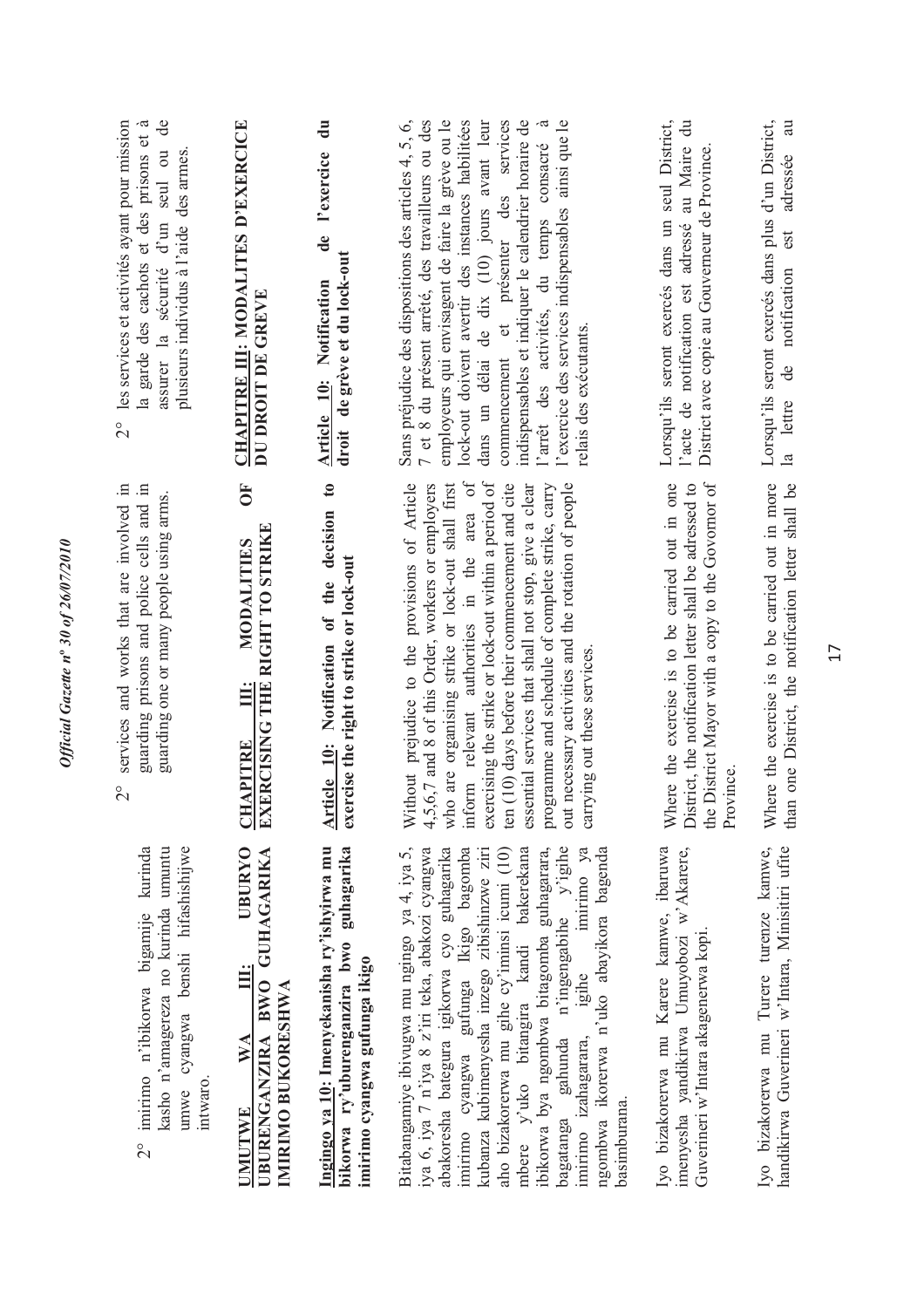| $\mathbf{d}\mathbf{e}$<br>les services et activités ayant pour mission<br>la garde des cachots et des prisons et à<br>seul ou<br>plusieurs individus à l'aide des armes.<br>assurer la sécurité d'un<br>$\frac{1}{2}$ | CHAPITRE III: MODALITES D'EXERCICE<br>DU DROIT DE GREVE                                           | $\ddot{a}$<br>de l'exercice<br>droit de grève et du lock-out<br>Article 10: Notification                                | indispensables et indiquer le calendrier horaire de<br>l'exercice des services indispensables ainsi que le<br>Sans préjudice des dispositions des articles 4, 5, 6,<br>7 et 8 du présent arrêté, des travailleurs ou des<br>employeurs qui envisagent de faire la grève ou le<br>lock-out doivent avertir des instances habilitées<br>dans un délai de dix (10) jours avant leur<br>commencement et présenter des services<br>l'arrêt des activités, du temps consacré à<br>relais des exécutants.                                         | l'acte de notification est adressé au Maire du<br>Lorsqu'ils seront exercés dans un seul District,<br>District avec copie au Gouverneur de Province.                       | Lorsqu'ils seront exercés dans plus d'un District,<br>$\overline{a}$<br>adressée<br>est<br>de notification<br>la lettre |
|-----------------------------------------------------------------------------------------------------------------------------------------------------------------------------------------------------------------------|---------------------------------------------------------------------------------------------------|-------------------------------------------------------------------------------------------------------------------------|--------------------------------------------------------------------------------------------------------------------------------------------------------------------------------------------------------------------------------------------------------------------------------------------------------------------------------------------------------------------------------------------------------------------------------------------------------------------------------------------------------------------------------------------|----------------------------------------------------------------------------------------------------------------------------------------------------------------------------|-------------------------------------------------------------------------------------------------------------------------|
| services and works that are involved in<br>guarding prisons and police cells and in<br>guarding one or many people using arms.<br>$\overset{\circ}{\Omega}$                                                           | 5C<br>EXERCISING THE RIGHT TO STRIKE<br>MODALITIES<br><u>ili</u><br><b>CHAPITRE</b>               | $\mathfrak{c}_0$<br>Article 10: Notification of the decision<br>exercise the right to strike or lock-out                | inform relevant authorities in the area of<br>exercising the strike or lock-out within a period of<br>Without prejudice to the provisions of Article<br>are organising strike or lock-out shall first<br>4,5,6,7 and 8 of this Order, workers or employers<br>ten (10) days before their commencement and cite<br>essential services that shall not stop, give a clear<br>out necessary activities and the rotation of people<br>programme and schedule of complete strike, carry<br>carrying out these services<br>who                    | the District Mayor with a copy to the Govornor of<br>Where the exercise is to be carried out in one<br>District, the notification letter shall be adressed to<br>Province. | Where the exercise is to be carried out in more<br>than one District, the notification letter shall be                  |
| cyangwa benshi hifashishijwe<br>2° imirimo n'ibikorwa bigamije kurinda<br>kasho n'amagereza no kurinda umuntu<br>intwaro.<br>umwe                                                                                     | UBURENGANZIRA BWO GUHAGARIKA<br><b>UBURYO</b><br>IMIRIMO BUKORESHWA<br><b>WA</b><br><b>UMUTWE</b> | Ingingo ya 10: Imenyekanisha ry'ishyirwa mu<br>bikorwa ry'uburenganzira bwo guhagarika<br>imirimo cyangwa gufunga ikigo | ibikorwa bya ngombwa bitagomba guhagarara,<br>gahunda n'ingengabihe y'igihe<br>Bitabangamiye ibivugwa mu ngingo ya 4, iya 5,<br>imirimo cyangwa gufunga Ikigo bagomba<br>imirimo ya<br>ngombwa ikorerwa n'uko abayikora bagenda<br>iya 6, iya 7 n'iya 8 z'iri teka, abakozi cyangwa<br>abakoresha bategura igikorwa cyo guhagarika<br>kubanza kubimenyesha inzego zibishinzwe ziri<br>aho bizakorerwa mu gihe cy'iminsi icumi (10)<br>mbere y'uko bitangira kandi bakerekana<br>igihe<br>imirimo izahagarara,<br>basimburana.<br>bagatanga | Iyo bizakorerwa mu Karere kamwe, ibaruwa<br>imenyesha yandikirwa Umuyobozi w'Akarere,<br>Guverineri w'Intara akagenerwa kopi                                               | Iyo bizakorerwa mu Turere turenze kamwe,<br>handikirwa Guverineri w'Intara, Minisitiri ufite                            |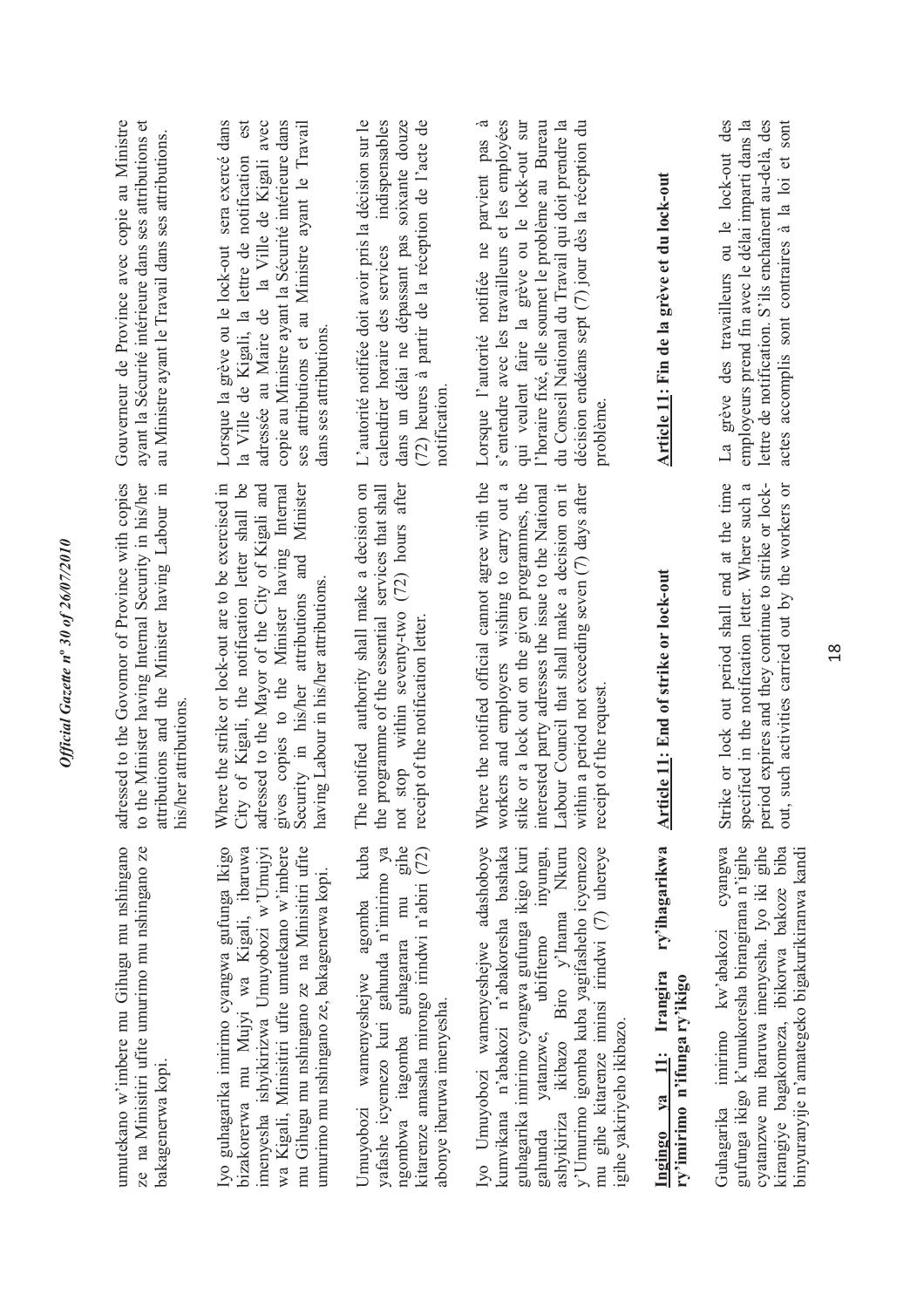| umutekano w'imbere mu Gihugu mu nshingano<br>ze na Minisitiri ufite umurimo mu nshingano ze<br>bakagenerwa kopi.                                                                                                                                                                                                                                    | adressed to the Govornor of Province with copies<br>to the Minister having Internal Security in his/her<br>attributions and the Minister having Labour in<br>his/her attributions                                                                                                                                                               | ayant la Sécurité intérieure dans ses attributions et<br>Gouverneur de Province avec copie au Ministre<br>au Ministre ayant le Travail dans ses attributions.                                                                                                                                                                        |
|-----------------------------------------------------------------------------------------------------------------------------------------------------------------------------------------------------------------------------------------------------------------------------------------------------------------------------------------------------|-------------------------------------------------------------------------------------------------------------------------------------------------------------------------------------------------------------------------------------------------------------------------------------------------------------------------------------------------|--------------------------------------------------------------------------------------------------------------------------------------------------------------------------------------------------------------------------------------------------------------------------------------------------------------------------------------|
| Iyo guhagarika imirimo cyangwa gufunga Ikigo<br>mu Gihugu mu nshingano ze na Minisitiri ufite<br>bizakorerwa mu Mujyi wa Kigali, ibaruwa<br>wa Kigali, Minisitiri ufite umutekano w'imbere<br>imenyesha ishyikirizwa Umuyobozi w'Umujyi<br>umurimo mu nshingano ze, bakagenerwa kopi.                                                               | Where the strike or lock-out are to be exercised in<br>City of Kigali, the notification letter shall be<br>adressed to the Mayor of the City of Kigali and<br>Security in his/her attributions and Minister<br>gives copies to the Minister having Internal<br>having Labour in his/her attributions.                                           | est<br>adressée au Maire de la Ville de Kigali avec<br>copie au Ministre ayant la Sécurité intérieure dans<br>Lorsque la grève ou le lock-out sera exercé dans<br>ses attributions et au Ministre ayant le Travail<br>la Ville de Kigali, la lettre de notification<br>dans ses attributions.                                        |
| ngombwa itagomba guhagarara mu gihe<br>Umuyobozi wamenyeshejwe agomba kuba<br>kitarenze amasaha mirongo irindwi n'abiri (72)<br>yafashe icyemezo kuri gahunda n'imirimo ya<br>abonye ibaruwa imenyesha.                                                                                                                                             | notified authority shall make a decision on<br>stop within seventy-two (72) hours after<br>the programme of the essential services that shall<br>receipt of the notification letter.<br>The<br>not                                                                                                                                              | (72) heures à partir de la réception de l'acte de<br>L'autorité notifiée doit avoir pris la décision sur le<br>dans un délai ne dépassant pas soixante douze<br>indispensables<br>calendrier horaire des services<br>notification                                                                                                    |
| Iyo Umuyobozi wamenyeshejwe adashoboye<br>ashyikiriza ikibazo Biro y'Inama Nkuru<br>y'Umurimo igomba kuba yagifasheho icyemezo<br>mu gihe kitarenze iminsi irindwi (7) uhereye<br>kumvikana n'abakozi n'abakoresha bashaka<br>guhagarika imirimo cyangwa gufunga ikigo kuri<br>ubifitemo inyungu,<br>gahunda yatanzwe,<br>igihe yakiriyeho ikibazo. | Where the notified official cannot agree with the<br>stike or a lock out on the given programmes, the<br>workers and employers wishing to carry out a<br>Labour Council that shall make a decision on it<br>within a period not exceeding seven (7) days after<br>interested party adresses the issue to the National<br>receipt of the request | s'entendre avec les travailleurs et les employées<br>qui veulent faire la grève ou le lock-out sur<br>l'horaire fixé, elle soumet le problème au Bureau<br>du Conseil National du Travail qui doit prendre la<br>décision endéans sept (7) jour dès la réception du<br>-ದ<br>Lorsque l'autorité notifiée ne parvient pas<br>problème |
| ry'ihagarikwa<br>Ingingo ya 11: Irangira<br>ry'imirimo n'ifunga ry'ikigo                                                                                                                                                                                                                                                                            | <b>Article 11:</b> End of strike or lock-out                                                                                                                                                                                                                                                                                                    | Article 11: Fin de la grève et du lock-out                                                                                                                                                                                                                                                                                           |
| cyangwa<br>gufunga ikigo k'umukoresha birangirana n'igihe<br>cyatanzwe mu ibaruwa imenyesha. Iyo iki gihe<br>kirangiye bagakomeza, ibikorwa bakoze biba<br>binyuranyije n'amategeko bigakurikiranwa kandi<br>Guhagarika imirimo kw'abakozi                                                                                                          | Strike or lock out period shall end at the time<br>specified in the notification letter. Where such a<br>such activities carried out by the workers or<br>period expires and they continue to strike or lock-<br>out,                                                                                                                           | La grève des travailleurs ou le lock-out des<br>employeurs prend fin avec le délai imparti dans la<br>lettre de notification. S'ils enchaînent au-delà, des<br>actes accomplis sont contraires à la loi et sont                                                                                                                      |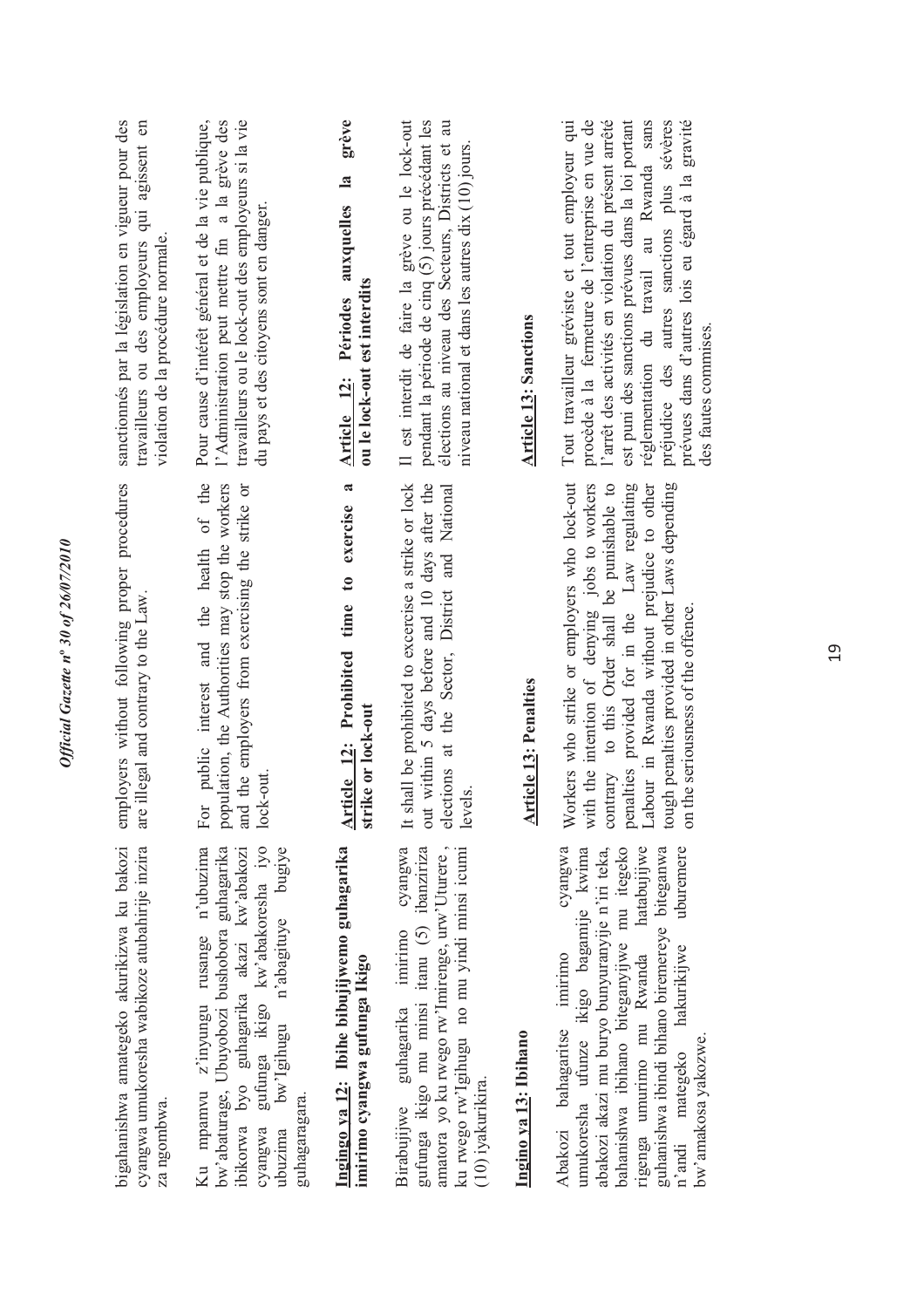| bigahanishwa amategeko akurikizwa ku bakozi<br>cyangwa umukoresha wabikoze atubahirije inzira<br>za ngombwa.                                                                                                                                                                                                                                         | employers without following proper procedures<br>are illegal and contrary to the Law.                                                                                                                                                                                                                                                   | sanctionnés par la législation en vigueur pour des<br>travailleurs ou des employeurs qui agissent en<br>violation de la procédure normale.                                                                                                                                                                                                                                               |
|------------------------------------------------------------------------------------------------------------------------------------------------------------------------------------------------------------------------------------------------------------------------------------------------------------------------------------------------------|-----------------------------------------------------------------------------------------------------------------------------------------------------------------------------------------------------------------------------------------------------------------------------------------------------------------------------------------|------------------------------------------------------------------------------------------------------------------------------------------------------------------------------------------------------------------------------------------------------------------------------------------------------------------------------------------------------------------------------------------|
| gufunga ikigo kw'abakoresha iyo<br>Ku mpamvu z'inyungu rusange n'ubuzima<br>n'abagituye bugiye<br>bw'abaturage, Ubuyobozi bushobora guhagarika<br>ibikorwa byo guhagarika akazi kw'abakozi<br>bw'Igihugu<br>guhagaragara.<br>cyangwa<br>ubuzima                                                                                                      | public interest and the health of the<br>population, the Authorities may stop the workers<br>and the employers from exercising the strike or<br>lock-out.<br>For                                                                                                                                                                        | Pour cause d'intérêt général et de la vie publique,<br>l'Administration peut mettre fin a la grève des<br>travailleurs ou le lock-out des employeurs si la vie<br>du pays et des citoyens sont en danger.                                                                                                                                                                                |
| Ingingo ya 12: Ibihe bibujijwemo guhagarika<br>imirimo cyangwa gufunga Ikigo                                                                                                                                                                                                                                                                         | $\boldsymbol{\mathfrak{a}}$<br>Article 12: Prohibited time to exercise<br>strike or lock-out                                                                                                                                                                                                                                            | grève<br>auxquelles la<br>ou le lock-out est interdits<br><b>Article 12: Périodes</b>                                                                                                                                                                                                                                                                                                    |
| amatora yo ku rwego rw'Imirenge, urw'Uturere,<br>cyangwa<br>gufunga ikigo mu minsi itanu (5) ibanziriza<br>ku rwego rw'Igihugu no mu yindi minsi icumi<br>Birabujijwe guhagarika imirimo<br>(10) iyakurikira.                                                                                                                                        | It shall be prohibited to excercise a strike or lock<br>out within 5 days before and 10 days after the<br>elections at the Sector, District and National<br>levels.                                                                                                                                                                     | Il est interdit de faire la grève ou le lock-out<br>pendant la période de cinq (5) jours précédant les<br>élections au niveau des Secteurs, Districts et au<br>niveau national et dans les autres dix (10) jours.                                                                                                                                                                        |
| Ingino ya 13: Ibihano                                                                                                                                                                                                                                                                                                                                | <b>Article 13: Penalties</b>                                                                                                                                                                                                                                                                                                            | <b>Article 13: Sanctions</b>                                                                                                                                                                                                                                                                                                                                                             |
| hatabujijwe<br>cyangwa<br>uburemere<br>abakozi akazi mu buryo bunyuranyije n'iri teka,<br>bahanishwa ibihano biteganyijwe mu itegeko<br>guhanishwa ibindi bihano biremereye biteganwa<br>umukoresha ufunze ikigo bagamije kwima<br>rigenga umurimo mu Rwanda<br>hakurikijwe<br>Abakozi bahagaritse imirimo<br>bw'amakosa yakozwe.<br>n'andi mategeko | Workers who strike or employers who lock-out<br>contrary to this Order shall be punishable to<br>tough penalties provided in other Laws depending<br>with the intention of denying jobs to workers<br>penalties provided for in the Law regulating<br>Labour in Rwanda without prejudice to other<br>on the seriousness of the offence. | l'arrêt des activités en violation du présent arrêté<br>est puni des sanctions prévues dans la loi portant<br>réglementation du travail au Rwanda sans<br>préjudice des autres sanctions plus sévères<br>prévues dans d'autres lois eu égard à la gravité<br>Tout travailleur gréviste et tout employeur qui<br>procède à la fermeture de l'entreprise en vue de<br>des fautes commises. |